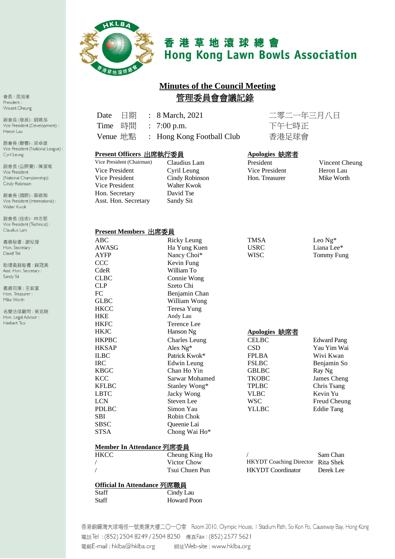

# 香港草地滾球總會 **Hong Kong Lawn Bowls Association**

# **Minutes of the Council Meeting** 管理委員會會議記錄

| 日期<br>Date<br>$\ddot{\cdot}$                         | 8 March, 2021           | 二零二一年三月八日             |                    |
|------------------------------------------------------|-------------------------|-----------------------|--------------------|
| Time<br>時間<br>$\ddot{\cdot}$                         | $7:00$ p.m.             | 下午七時正                 |                    |
| Venue 地點<br>$\ddot{\phantom{a}}$                     | Hong Kong Football Club | 香港足球會                 |                    |
|                                                      |                         |                       |                    |
| Present Officers 出席執行委員<br>Vice President (Chairman) |                         | Apologies 缺席者         |                    |
|                                                      | Claudius Lam            | President             | Vincent Cheu       |
| <b>Vice President</b>                                | Cyril Leung             | <b>Vice President</b> | Heron Lau          |
| Vice President                                       | Cindy Robinson          | Hon. Treasurer        | Mike Worth         |
| Vice President                                       | Walter Kwok             |                       |                    |
| Hon. Secretary                                       | David Tse               |                       |                    |
| Asst. Hon. Secretary                                 | Sandy Sit               |                       |                    |
|                                                      |                         |                       |                    |
|                                                      |                         |                       |                    |
| Present Members 出席委員                                 |                         |                       |                    |
| <b>ABC</b>                                           | <b>Ricky Leung</b>      | <b>TMSA</b>           | Leo Ng*            |
| <b>AWASG</b>                                         | Ha Yung Kuen            | <b>USRC</b>           | Liana Lee*         |
| <b>AYFP</b>                                          | Nancy Choi*             | <b>WISC</b>           | <b>Tommy Fung</b>  |
| <b>CCC</b>                                           | Kevin Fung              |                       |                    |
| CdeR                                                 | William To              |                       |                    |
| <b>CLBC</b>                                          | Connie Wong             |                       |                    |
| <b>CLP</b>                                           | Szeto Chi               |                       |                    |
| FC                                                   | Benjamin Chan           |                       |                    |
| GLBC                                                 | William Wong            |                       |                    |
| <b>HKCC</b>                                          | Teresa Yung             |                       |                    |
| <b>HKE</b>                                           | Andy Lau                |                       |                    |
| <b>HKFC</b>                                          | <b>Terence Lee</b>      |                       |                    |
| <b>HKJC</b>                                          | Hanson Ng               | Apologies 缺席者         |                    |
| <b>HKPBC</b>                                         | <b>Charles Leung</b>    | <b>CELBC</b>          | <b>Edward Pang</b> |
| <b>HKSAP</b>                                         | Alex Ng*                | <b>CSD</b>            | Yau Yim Wai        |
| <b>ILBC</b>                                          | Patrick Kwok*           | <b>FPLBA</b>          | Wivi Kwan          |
| <b>IRC</b>                                           | <b>Edwin</b> Leung      | <b>FSLBC</b>          | Benjamin So        |
| <b>KBGC</b>                                          | Chan Ho Yin             | <b>GBLBC</b>          | Ray Ng             |
| <b>KCC</b>                                           | Sarwar Mohamed          | <b>TKOBC</b>          | James Cheng        |
| <b>KFLBC</b>                                         | Stanley Wong*           | <b>TPLBC</b>          | Chris Tsang        |
| <b>LBTC</b>                                          | Jacky Wong              | <b>VLBC</b>           | Kevin Yu           |
| <b>LCN</b>                                           | Steven Lee              | <b>WSC</b>            | Freud Cheung       |
| <b>PDLBC</b>                                         | Simon Yau               | <b>YLLBC</b>          | <b>Eddie Tang</b>  |
| <b>SBI</b>                                           | Robin Chok              |                       |                    |

| Member In Attendance 列席委員 |                |                                          |           |  |  |
|---------------------------|----------------|------------------------------------------|-----------|--|--|
| <b>HKCC</b>               | Cheung King Ho |                                          | Sam Chan  |  |  |
|                           | Victor Chow    | <b>HKYDT</b> Coaching Director Rita Shek |           |  |  |
|                           | Tsui Chuen Pun | <b>HKYDT</b> Coordinator                 | Derek Lee |  |  |
|                           |                |                                          |           |  |  |

#### Official In Attendance 列席職員

**SBSC** 

**STSA** 

 $\overline{1}$  $\overline{1}$ 

| Staff | Cindy Lau          |
|-------|--------------------|
| Staff | <b>Howard Poon</b> |

Queenie Lai

Chong Wai Ho\*

香港銅鑼灣大球場徑一號奧運大樓二〇一〇室 Room 2010, Olympic House, I Stadium Path, So Kon Po, Causeway Bay, Hong Kong 電話Tel: (852) 2504 8249 / 2504 8250 傳真Fax: (852) 2577 5621 電郵E-mail: hklba@hklba.org 網址Web-site : www.hkIba.org

會長:張旭峯 President : Vincent Cheung

副會長(發展):劉曉昂 Vice President (Development) : Heron Lau

副會長(聯賽):梁卓雄 Vice President (National League) : Cyril Leung

副會長(公開賽):陳潔瑤 Vice President (National Championship): Cindy Robinson

副會長 (國際): 郭德和 Vice President (International) : Walter Kwok

副會長(技術):林志堅 Vice President (Technical) : Claudius Lam

義務秘書:謝紀發 Hon. Secretary: David Tse

助理義務秘書:薛冠美 Asst. Hon. Secretary : Sandy Sit

義務司庫:王鋭富 Hon. Treasurer : Mike Worth

名譽法律顧問:蔡克剛 Hon. Legal Advisor : Herbert Tsoi

 $\overline{\text{ng}}$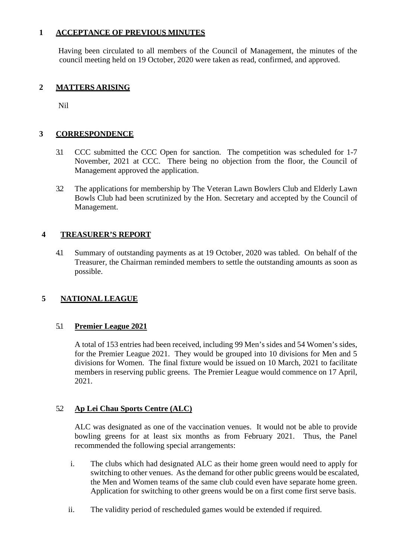## **1 ACCEPTANCE OF PREVIOUS MINUTES**

Having been circulated to all members of the Council of Management, the minutes of the council meeting held on 19 October, 2020 were taken as read, confirmed, and approved.

## **2 MATTERS ARISING**

Nil

## **3 CORRESPONDENCE**

- 3.1 CCC submitted the CCC Open for sanction. The competition was scheduled for 1-7 November, 2021 at CCC. There being no objection from the floor, the Council of Management approved the application.
- 3.2 The applications for membership by The Veteran Lawn Bowlers Club and Elderly Lawn Bowls Club had been scrutinized by the Hon. Secretary and accepted by the Council of Management.

## **4 TREASURER'S REPORT**

4.1 Summary of outstanding payments as at 19 October, 2020 was tabled. On behalf of the Treasurer, the Chairman reminded members to settle the outstanding amounts as soon as possible.

# **5 NATIONAL LEAGUE**

#### 5.1 **Premier League 2021**

A total of 153 entries had been received, including 99 Men's sides and 54 Women's sides, for the Premier League 2021. They would be grouped into 10 divisions for Men and 5 divisions for Women. The final fixture would be issued on 10 March, 2021 to facilitate members in reserving public greens. The Premier League would commence on 17 April, 2021.

## 5.2 **Ap Lei Chau Sports Centre (ALC)**

ALC was designated as one of the vaccination venues. It would not be able to provide bowling greens for at least six months as from February 2021. Thus, the Panel recommended the following special arrangements:

- i. The clubs which had designated ALC as their home green would need to apply for switching to other venues. As the demand for other public greens would be escalated, the Men and Women teams of the same club could even have separate home green. Application for switching to other greens would be on a first come first serve basis.
- ii. The validity period of rescheduled games would be extended if required.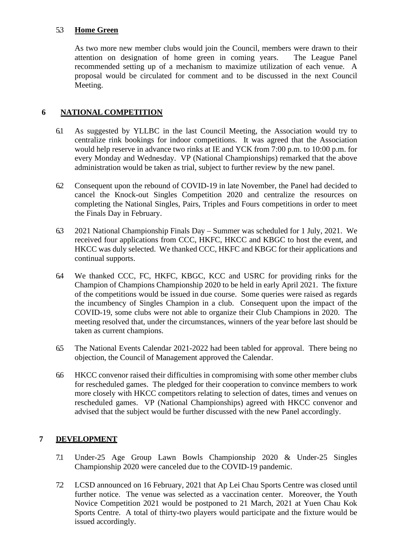#### 5.3 **Home Green**

As two more new member clubs would join the Council, members were drawn to their attention on designation of home green in coming vears. The League Panel attention on designation of home green in coming years. recommended setting up of a mechanism to maximize utilization of each venue. A proposal would be circulated for comment and to be discussed in the next Council Meeting.

## **6 NATIONAL COMPETITION**

- 6.1 As suggested by YLLBC in the last Council Meeting, the Association would try to centralize rink bookings for indoor competitions. It was agreed that the Association would help reserve in advance two rinks at IE and YCK from 7:00 p.m. to 10:00 p.m. for every Monday and Wednesday. VP (National Championships) remarked that the above administration would be taken as trial, subject to further review by the new panel.
- 6.2 Consequent upon the rebound of COVID-19 in late November, the Panel had decided to cancel the Knock-out Singles Competition 2020 and centralize the resources on completing the National Singles, Pairs, Triples and Fours competitions in order to meet the Finals Day in February.
- 6.3 2021 National Championship Finals Day Summer was scheduled for 1 July, 2021. We received four applications from CCC, HKFC, HKCC and KBGC to host the event, and HKCC was duly selected. We thanked CCC, HKFC and KBGC for their applications and continual supports.
- 6.4 We thanked CCC, FC, HKFC, KBGC, KCC and USRC for providing rinks for the Champion of Champions Championship 2020 to be held in early April 2021. The fixture of the competitions would be issued in due course. Some queries were raised as regards the incumbency of Singles Champion in a club. Consequent upon the impact of the COVID-19, some clubs were not able to organize their Club Champions in 2020. The meeting resolved that, under the circumstances, winners of the year before last should be taken as current champions.
- 6.5 The National Events Calendar 2021-2022 had been tabled for approval. There being no objection, the Council of Management approved the Calendar.
- 6.6 HKCC convenor raised their difficulties in compromising with some other member clubs for rescheduled games. The pledged for their cooperation to convince members to work more closely with HKCC competitors relating to selection of dates, times and venues on rescheduled games. VP (National Championships) agreed with HKCC convenor and advised that the subject would be further discussed with the new Panel accordingly.

## **7 DEVELOPMENT**

- 7.1 Under-25 Age Group Lawn Bowls Championship 2020 & Under-25 Singles Championship 2020 were canceled due to the COVID-19 pandemic.
- 7.2 LCSD announced on 16 February, 2021 that Ap Lei Chau Sports Centre was closed until further notice. The venue was selected as a vaccination center. Moreover, the Youth Novice Competition 2021 would be postponed to 21 March, 2021 at Yuen Chau Kok Sports Centre. A total of thirty-two players would participate and the fixture would be issued accordingly.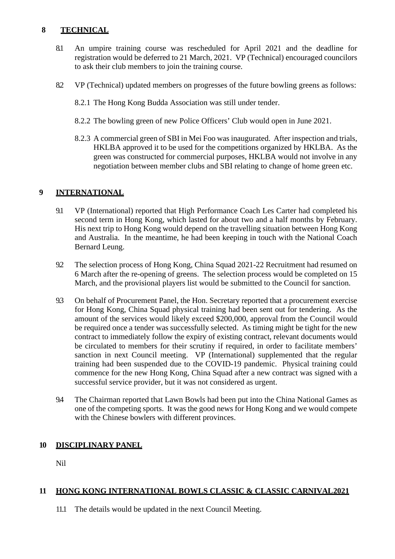## **8 TECHNICAL**

- 8.1 An umpire training course was rescheduled for April 2021 and the deadline for registration would be deferred to 21 March, 2021. VP (Technical) encouraged councilors to ask their club members to join the training course.
- 8.2 VP (Technical) updated members on progresses of the future bowling greens as follows:
	- 8.2.1 The Hong Kong Budda Association was still under tender.
	- 8.2.2 The bowling green of new Police Officers' Club would open in June 2021.
	- 8.2.3 A commercial green of SBI in Mei Foo was inaugurated. After inspection and trials, HKLBA approved it to be used for the competitions organized by HKLBA. As the green was constructed for commercial purposes, HKLBA would not involve in any negotiation between member clubs and SBI relating to change of home green etc.

## **9 INTERNATIONAL**

- 9.1 VP (International) reported that High Performance Coach Les Carter had completed his second term in Hong Kong, which lasted for about two and a half months by February. His next trip to Hong Kong would depend on the travelling situation between Hong Kong and Australia. In the meantime, he had been keeping in touch with the National Coach Bernard Leung.
- 9.2 The selection process of Hong Kong, China Squad 2021-22 Recruitment had resumed on 6 March after the re-opening of greens. The selection process would be completed on 15 March, and the provisional players list would be submitted to the Council for sanction.
- 9.3 On behalf of Procurement Panel, the Hon. Secretary reported that a procurement exercise for Hong Kong, China Squad physical training had been sent out for tendering. As the amount of the services would likely exceed \$200,000, approval from the Council would be required once a tender was successfully selected. As timing might be tight for the new contract to immediately follow the expiry of existing contract, relevant documents would be circulated to members for their scrutiny if required, in order to facilitate members' sanction in next Council meeting. VP (International) supplemented that the regular training had been suspended due to the COVID-19 pandemic. Physical training could commence for the new Hong Kong, China Squad after a new contract was signed with a successful service provider, but it was not considered as urgent.
- 9.4 The Chairman reported that Lawn Bowls had been put into the China National Games as one of the competing sports. It was the good news for Hong Kong and we would compete with the Chinese bowlers with different provinces.

# **10 DISCIPLINARY PANEL**

Nil

# **11 HONG KONG INTERNATIONAL BOWLS CLASSIC & CLASSIC CARNIVAL2021**

11.1 The details would be updated in the next Council Meeting.